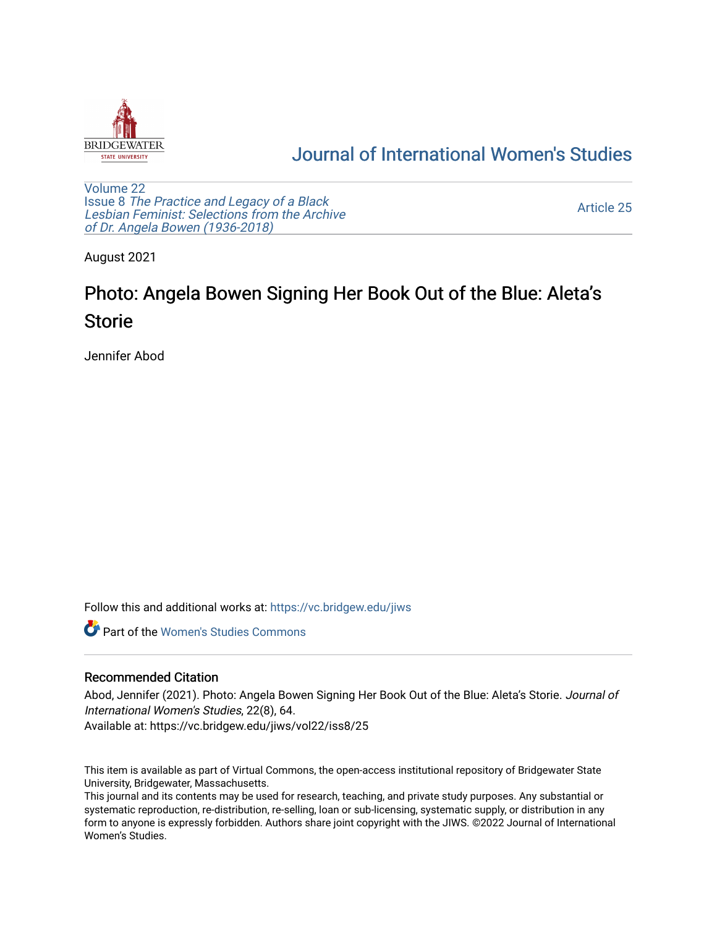

## [Journal of International Women's Studies](https://vc.bridgew.edu/jiws)

[Volume 22](https://vc.bridgew.edu/jiws/vol22) Issue 8 [The Practice and Legacy of a Black](https://vc.bridgew.edu/jiws/vol22/iss8)  [Lesbian Feminist: Selections from the Archive](https://vc.bridgew.edu/jiws/vol22/iss8)  [of Dr. Angela Bowen \(1936-2018\)](https://vc.bridgew.edu/jiws/vol22/iss8)

[Article 25](https://vc.bridgew.edu/jiws/vol22/iss8/25) 

August 2021

## Photo: Angela Bowen Signing Her Book Out of the Blue: Aleta's Storie

Jennifer Abod

Follow this and additional works at: [https://vc.bridgew.edu/jiws](https://vc.bridgew.edu/jiws?utm_source=vc.bridgew.edu%2Fjiws%2Fvol22%2Fiss8%2F25&utm_medium=PDF&utm_campaign=PDFCoverPages)

**C** Part of the Women's Studies Commons

## Recommended Citation

Abod, Jennifer (2021). Photo: Angela Bowen Signing Her Book Out of the Blue: Aleta's Storie. Journal of International Women's Studies, 22(8), 64.

Available at: https://vc.bridgew.edu/jiws/vol22/iss8/25

This item is available as part of Virtual Commons, the open-access institutional repository of Bridgewater State University, Bridgewater, Massachusetts.

This journal and its contents may be used for research, teaching, and private study purposes. Any substantial or systematic reproduction, re-distribution, re-selling, loan or sub-licensing, systematic supply, or distribution in any form to anyone is expressly forbidden. Authors share joint copyright with the JIWS. ©2022 Journal of International Women's Studies.